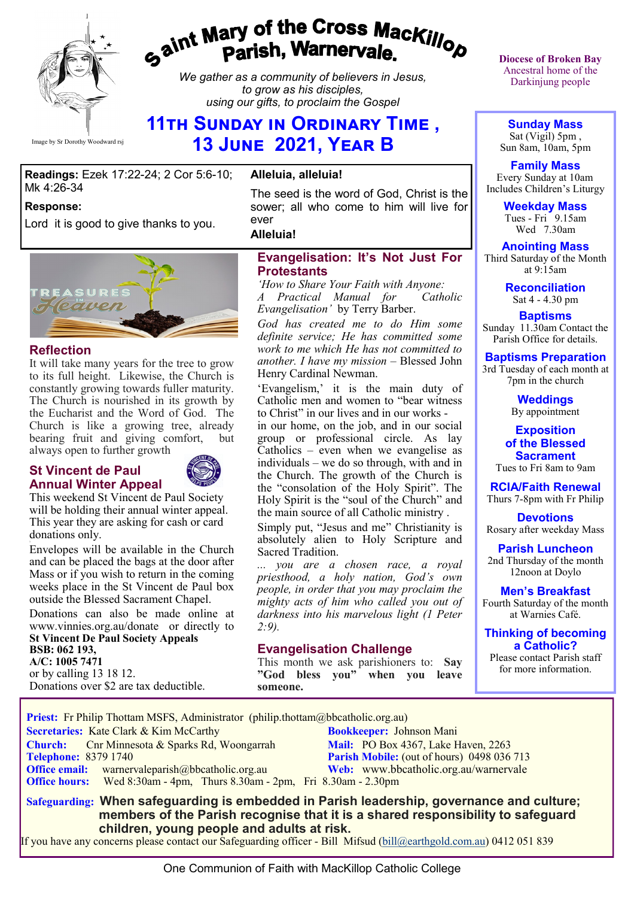

# gaint Mary of the Cross Mackillop<br>g<sup>aint</sup> Parish, Warnervale.

*We gather as a community of believers in Jesus, to grow as his disciples, using our gifts, to proclaim the Gospel*

# **11th Sunday in Ordinary Time , 13 June 2021, Year B**

#### **Readings:** Ezek 17:22-24; 2 Cor 5:6-10; Mk 4:26-34

#### **Response:**

Lord it is good to give thanks to you.



#### **Reflection**

It will take many years for the tree to grow to its full height. Likewise, the Church is constantly growing towards fuller maturity. The Church is nourished in its growth by the Eucharist and the Word of God. The Church is like a growing tree, already bearing fruit and giving comfort, but always open to further growth

#### **St Vincent de Paul Annual Winter Appeal**



This weekend St Vincent de Paul Society will be holding their annual winter appeal. This year they are asking for cash or card donations only.

3 Envelopes will be available in the Church and can be placed the bags at the door after Mass or if you wish to return in the coming weeks place in the St Vincent de Paul box outside the Blessed Sacrament Chapel.

Donations can also be made online at www.vinnies.org.au/donate or directly to **St Vincent De Paul Society Appeals BSB: 062 193, A/C: 1005 7471** or by calling 13 18 12. Donations over \$2 are tax deductible.

#### **Alleluia, alleluia!**

The seed is the word of God, Christ is the sower; all who come to him will live for ever

**Alleluia!**

#### **Evangelisation: It's Not Just For Protestants**

*'How to Share Your Faith with Anyone:*  A Practical Manual for *Evangelisation'* by Terry Barber.

*God has created me to do Him some definite service; He has committed some work to me which He has not committed to another. I have my mission* – Blessed John Henry Cardinal Newman.

'Evangelism,' it is the main duty of Catholic men and women to "bear witness to Christ" in our lives and in our works in our home, on the job, and in our social group or professional circle. As lay Catholics – even when we evangelise as individuals – we do so through, with and in the Church. The growth of the Church is the "consolation of the Holy Spirit". The Holy Spirit is the "soul of the Church" and the main source of all Catholic ministry .

Simply put, "Jesus and me" Christianity is absolutely alien to Holy Scripture and Sacred Tradition.

*... you are a chosen race, a royal priesthood, a holy nation, God's own people, in order that you may proclaim the mighty acts of him who called you out of darkness into his marvelous light (1 Peter 2:9).*

#### **Evangelisation Challenge**

This month we ask parishioners to: **Say "God bless you" when you leave someone.** 

**Diocese of Broken Bay**  Ancestral home of the Darkinjung people

**Sunday Mass** Sat (Vigil) 5pm , Sun 8am, 10am, 5pm

**Family Mass**  Every Sunday at 10am Includes Children's Liturgy

> **Weekday Mass** Tues - Fri  $9.15$ am Wed 7.30am

**Anointing Mass** Third Saturday of the Month at 9:15am

> **Reconciliation** Sat 4 - 4.30 pm

**Baptisms** Sunday 11.30am Contact the Parish Office for details.

**Baptisms Preparation** 3rd Tuesday of each month at

7pm in the church

**Weddings**  By appointment

**Exposition of the Blessed Sacrament** Tues to Fri 8am to 9am

**RCIA/Faith Renewal**  Thurs 7-8pm with Fr Philip

**Devotions** Rosary after weekday Mass

**Parish Luncheon** 2nd Thursday of the month 12noon at Doylo

**Men's Breakfast** Fourth Saturday of the month at Warnies Café.

**Thinking of becoming a Catholic?**

Please contact Parish staff for more information.

**Priest:** Fr Philip Thottam MSFS, Administrator (philip.thottam@bbcatholic.org.au)

 **Secretaries:** Kate Clark & Kim McCarthy **Bookkeeper:** Johnson Mani

**Church:** Cnr Minnesota & Sparks Rd, Woongarrah **Mail:** PO Box 4367, Lake Haven, 2263<br> **Telephone:** 8379 1740 **Parish Mobile:** (out of hours) 0498 036 **Office email:** warnervaleparish@bbcatholic.org.au **Web:** [www.bbcatholic.org.au/warnervale](https://www.bbcatholic.org.au/warnervale)  **Office hours:** Wed 8:30am - 4pm, Thurs 8.30am - 2pm, Fri 8.30am - 2.30pm

**Parish Mobile:** (out of hours) 0498 036 713

 **Safeguarding: When safeguarding is embedded in Parish leadership, governance and culture; members of the Parish recognise that it is a shared responsibility to safeguard children, young people and adults at risk.**

If you have any concerns please contact our Safeguarding officer - Bill Mifsud ([bill@earthgold.com.au\)](mailto:bill@earthgold.com.au) 0412 051 839